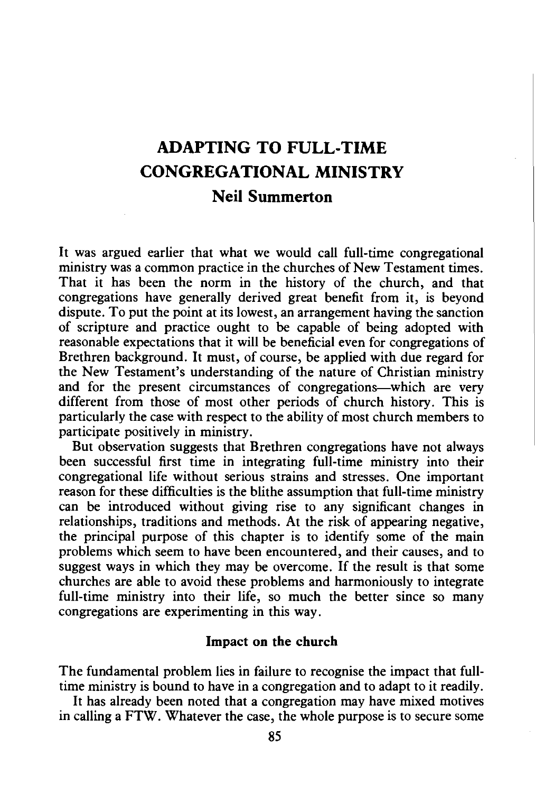## **ADAPTING TO FULL-TIME CONGREGATIONAL MINISTRY Neil Summerton**

It was argued earlier that what we would call full-time congregational ministry was a common practice in the churches of New Testament times. That it has been the norm in the history of the church, and that congregations have generally derived great benefit from it, is beyond dispute. To put the point at its lowest, an arrangement having the sanction of scripture and practice ought to be capable of being adopted with reasonable expectations that it will be beneficial even for congregations of Brethren background. It must, of course, be applied with due regard for the New Testament's understanding of the nature of Christian ministry and for the present circumstances of congregations-which are very different from those of most other periods of church history. This is particularly the case with respect to the ability of most church members to participate positively in ministry.

But observation suggests that Brethren congregations have not always been successful first time in integrating full-time ministry into their congregational life without serious strains and stresses. One important reason for these difficulties is the blithe assumption that full-time ministry can be introduced without giving rise to any significant changes in relationships, traditions and methods. At the risk of appearing negative, the principal purpose of this chapter is to identify some of the main problems which seem to have been encountered, and their causes, and to suggest ways in which they may be overcome. If the result is that some churches are able to avoid these problems and harmoniously to integrate full-time ministry into their life, so much the better since so many congregations are experimenting in this way.

## **Impact on the church**

The fundamental problem lies in failure to recognise the impact that fulltime ministry is bound to have in a congregation and to adapt to it readily.

It has already been noted that a congregation may have mixed motives in calling a FTW. Whatever the case, the whole purpose is to secure some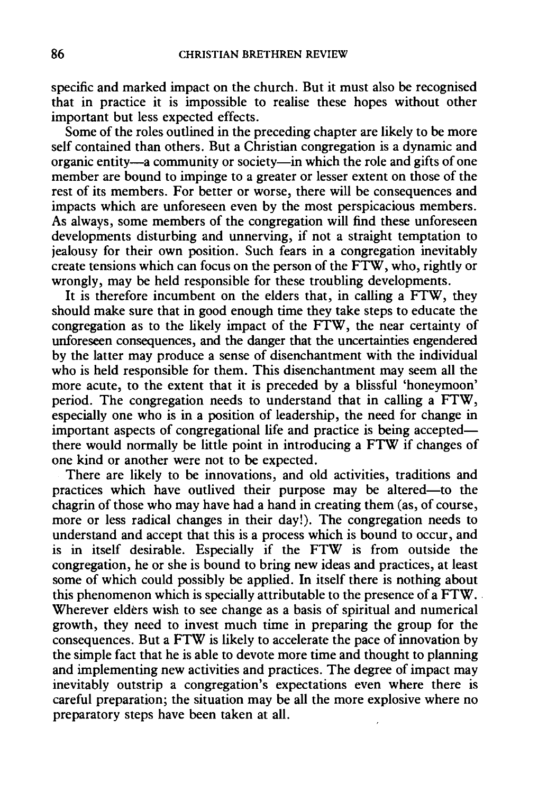specific and marked impact on the church. But it must also be recognised that in practice it is impossible to realise these hopes without other important but less expected effects.

Some of the roles outlined in the preceding chapter are likely to be more self contained than others. But a Christian congregation is a dynamic and organic entity-a community or society-in which the role and gifts of one member are bound to impinge to a greater or lesser extent on those of the rest of its members. For better or worse, there will be consequences and impacts which are unforeseen even by the most perspicacious members. As always, some members of the congregation will find these unforeseen developments disturbing and unnerving, if not a straight temptation to jealousy for their own position. Such fears in a congregation inevitably create tensions which can focus on the person of the FTW, who, rightly or wrongly, may be held responsible for these troubling developments.

It is therefore incumbent on the elders that, in calling a FTW, they should make sure that in good enough time they take steps to educate the congregation as to the likely impact of the FTW, the near certainty of unforeseen consequences, and the danger that the uncertainties engendered by the latter may produce a sense of disenchantment with the individual who is held responsible for them. This disenchantment may seem all the more acute, to the extent that it is preceded by a blissful 'honeymoon' period. The congregation needs to understand that in calling a FTW, especially one who is in a position of leadership, the need for change in important aspects of congregational life and practice is being accepted there would normally be little point in introducing a FTW if changes of one kind or another were not to be expected.

There are likely to be innovations, and old activities, traditions and practices which have outlived their purpose may be altered-to the chagrin of those who may have had a hand in creating them (as, of course, more or less radical changes in their day!). The congregation needs to understand and accept that this is a process which is bound to occur, and is in itself desirable. Especially if the FTW is from outside the congregation, he or she is bound to bring new ideas and practices, at least some of which could possibly be applied. In itself there is nothing about this phenomenon which is specially attributable to the presence of a FTW. Wherever elders wish to see change as a basis of spiritual and numerical growth, they need to invest much time in preparing the group for the consequences. But a FTW is likely to accelerate the pace of innovation by the simple fact that he is able to devote more time and thought to planning and implementing new activities and practices. The degree of impact may inevitably outstrip a congregation's expectations even where there is careful preparation; the situation may be all the more explosive where no preparatory steps have been taken at all.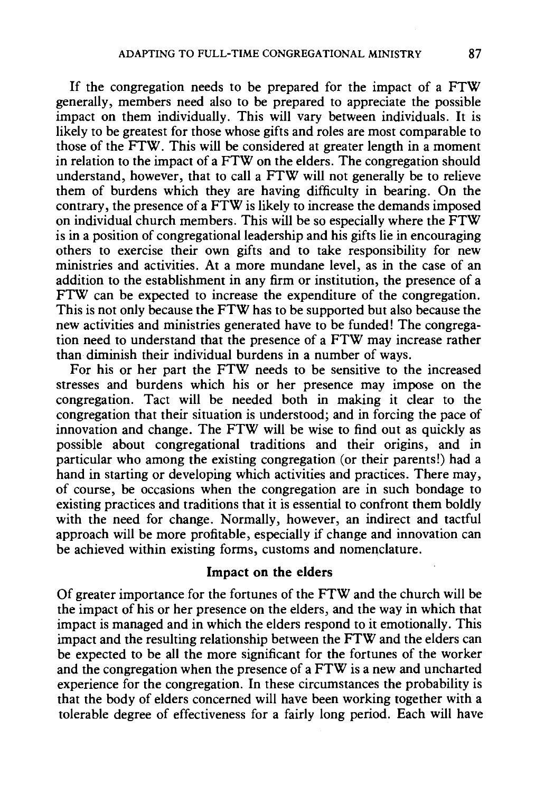If the congregation needs to be prepared for the impact of a FTW generally, members need also to be prepared to appreciate the possible impact on them individually. This will vary between individuals. It is likely to be greatest for those whose gifts and roles are most comparable to those of the FTW. This will be considered at greater length in a moment in relation to the impact of a FTW on the elders. The congregation should understand, however, that to call a FTW will not generally be to relieve them of burdens which they are having difficulty in bearing. On the contrary, the presence of a FTW is likely to increase the demands imposed on individual church members. This will be so especially where the FTW is in a position of congregational leadership and his gifts lie in encouraging others to exercise their own gifts and to take responsibility for new ministries and activities. At a more mundane level, as in the case of an addition to the establishment in any firm or institution, the presence of a FTW can be expected to increase the expenditure of the congregation. This is not only because the FTW has to be supported but also because the new activities and ministries generated have to be funded! The congregation need to understand that the presence of a FTW may increase rather than diminish their individual burdens in a number of ways.

For his or her part the FTW needs to be sensitive to the increased stresses and burdens which his or her presence may impose on the congregation. Tact will be needed both in making it clear to the congregation that their situation is understood; and in forcing the pace of innovation and change. The FTW will be wise to find out as quickly as possible about congregational traditions and their origins, and in particular who among the existing congregation (or their parents!) had a hand in starting or developing which activities and practices. There may, of course, be occasions when the congregation are in such bondage to existing practices and traditions that it is essential to confront them boldly with the need for change. Normally, however, an indirect and tactful approach will be more profitable, especially if change and innovation can be achieved within existing forms, customs and nomenclature.

## **Impact on the elders**

Of greater importance for the fortunes of the FTW and the church will be the impact of his or her presence on the elders, and the way in which that impact is managed and in which the elders respond to it emotionally. This impact and the resulting relationship between the FTW and the elders can be expected to be all the more significant for the fortunes of the worker and the congregation when the presence of a FTW is a new and uncharted experience for the congregation. In these circumstances the probability is that the body of elders concerned will have been working together with a tolerable degree of effectiveness for a fairly long period. Each will have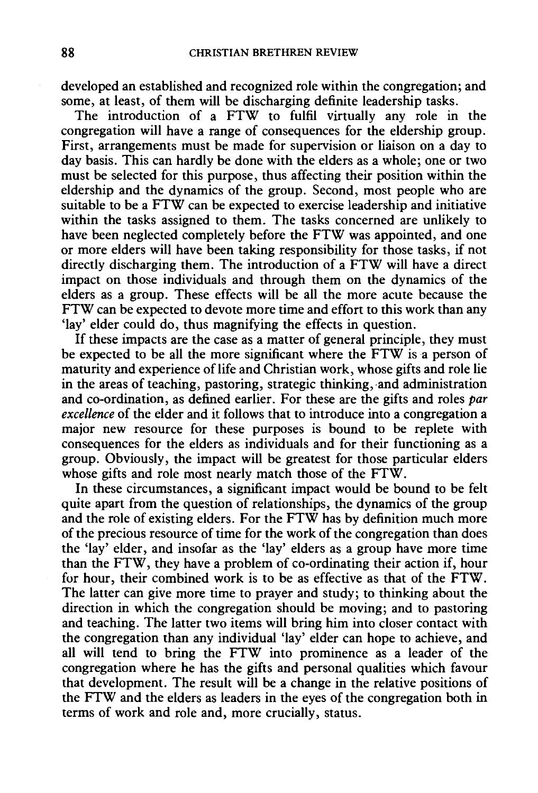developed an established and recognized role within the congregation; and some, at least, of them will be discharging definite leadership tasks.

The introduction of a FTW to fulfil virtually any role in the congregation will have a range of consequences for the eldership group. First, arrangements must be made for supervision or liaison on a day to day basis. This can hardly be done with the elders as a whole; one or two must be selected for this purpose, thus affecting their position within the eldership and the dynamics of the group. Second, most people who are suitable to be a FTW can be expected to exercise leadership and initiative within the tasks assigned to them. The tasks concerned are unlikely to have been neglected completely before the FTW was appointed, and one or more elders will have been taking responsibility for those tasks, if not directly discharging them. The introduction of a FTW will have a direct impact on those individuals and through them on the dynamics of the elders as a group. These effects will be all the more acute because the FTW can be expected to devote more time and effort to this work than any 'lay' elder could do, thus magnifying the effects in question.

If these impacts are the case as a matter of general principle, they must be expected to be all the more significant where the FTW is a person of maturity and experience of life and Christian work, whose gifts and role lie in the areas of teaching, pastoring, strategic thinking, and administration and co-ordination, as defined earlier. For these are the gifts and roles *par excellence* of the elder and it follows that to introduce into a congregation a major new resource for these purposes is bound to be replete with consequences for the elders as individuals and for their functioning as a group. Obviously, the impact will be greatest for those particular elders whose gifts and role most nearly match those of the FTW.

In these circumstances, a significant impact would be bound to be felt quite apart from the question of relationships, the dynamics of the group and the role of existing elders. For the FTW has by definition much more of the precious resource of time for the work of the congregation than does the 'lay' elder, and insofar as the 'lay' elders as a group have more time than the FTW, they have a problem of co-ordinating their action if, hour for hour, their combined work is to be as effective as that of the FTW. The latter can give more time to prayer and study; to thinking about the direction in which the congregation should be moving; and to pastoring and teaching. The latter two items will bring him into closer contact with the congregation than any individual 'lay' elder can hope to achieve, and all will tend to bring the FTW into prominence as a leader of the congregation where he has the gifts and personal qualities which favour that development. The result will be a change in the relative positions of the FTW and the elders as leaders in the eyes of the congregation both in terms of work and role and, more crucially, status.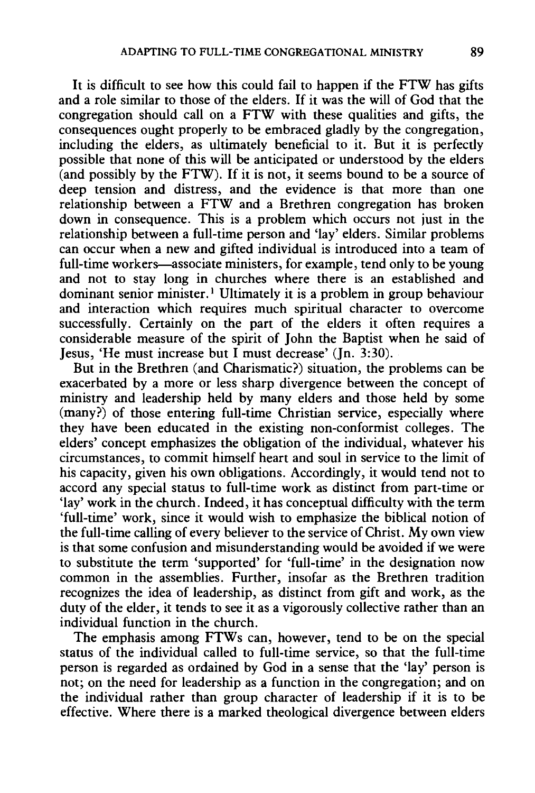It is difficult to see how this could fail to happen if the FTW has gifts and a role similar to those of the elders. If it was the will of God that the congregation should call on a FTW with these qualities and gifts, the consequences ought properly to be embraced gladly by the congregation, including the elders, as ultimately beneficial to it. But it is perfectly possible that none of this will be anticipated or understood by the elders (and possibly by the FTW). If it is not, it seems bound to be a source of deep tension and distress, and the evidence is that more than one relationship between a FTW and a Brethren congregation has broken down in consequence. This is a problem which occurs not just in the relationship between a full-time person and 'lay' elders. Similar problems can occur when a new and gifted individual is introduced into a team of full-time workers—associate ministers, for example, tend only to be young and not to stay long in churches where there is an established and dominant senior minister. 1 Ultimately it is a problem in group behaviour and interaction which requires much spiritual character to overcome successfully. Certainly on the part of the elders it often requires a considerable measure of the spirit of John the Baptist when he said of Jesus, 'He must increase but I must decrease' (Jn. 3:30).

But in the Brethren (and Charismatic?) situation, the problems can be exacerbated by a more or less sharp divergence between the concept of ministry and leadership held by many elders and those held by some (many?) of those entering full-time Christian service, especially where they have been educated in the existing non-conformist colleges. The elders' concept emphasizes the obligation of the individual, whatever his circumstances, to commit himself heart and soul in service to the limit of his capacity, given his own obligations. Accordingly, it would tend not to accord any special status to full-time work as distinct from part-time or 'lay' work in the church. Indeed, it has conceptual difficulty with the term 'full-time' work, since it would wish to emphasize the biblical notion of the full-time calling of every believer to the service of Christ. My own view is that some confusion and misunderstanding would be avoided if we were to substitute the term 'supported' for 'full-time' in the designation now common in the assemblies. Further, insofar as the Brethren tradition recognizes the idea of leadership, as distinct from gift and work, as the duty of the elder, it tends to see it as a vigorously collective rather than an individual function in the church.

The emphasis among FTWs can, however, tend to be on the special status of the individual called to full-time service, so that the full-time person is regarded as ordained by God in a sense that the 'lay' person is not; on the need for leadership as a function in the congregation; and on the individual rather than group character of leadership if it is to be effective. Where there is a marked theological divergence between elders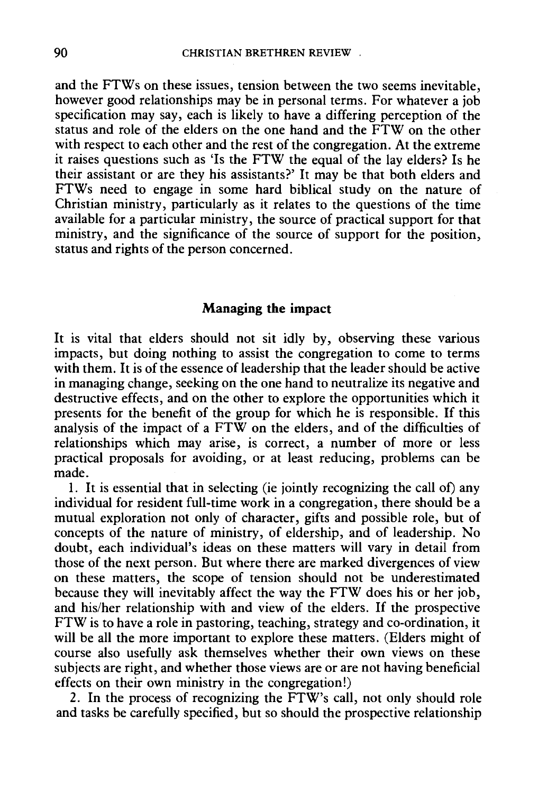and the FTWs on these issues, tension between the two seems inevitable, however good relationships may be in personal terms. For whatever a job specification may say, each is likely to have a differing perception of the status and role of the elders on the one hand and the FTW on the other with respect to each other and the rest of the congregation. At the extreme it raises questions such as 'Is the FTW the equal of the lay elders? Is he their assistant or are they his assistants?' It may be that both elders and FTWs need to engage in some hard biblical study on the nature of Christian ministry, particularly as it relates to the questions of the time available for a particular ministry, the source of practical support for that ministry, and the significance of the source of support for the position, status and rights of the person concerned.

## **Managing the impact**

It is vital that elders should not sit idly by, observing these various impacts, but doing nothing to assist the congregation to come to terms with them. It is of the essence of leadership that the leader should be active in managing change, seeking on the one hand to neutralize its negative and destructive effects, and on the other to explore the opportunities which it presents for the benefit of the group for which he is responsible. If this analysis of the impact of a FTW on the elders, and of the difficulties of relationships which may arise, is correct, a number of more or less practical proposals for avoiding, or at least reducing, problems can be made.

1. It is essential that in selecting (ie jointly recognizing the call of) any individual for resident full-time work in a congregation, there should be a mutual exploration not only of character, gifts and possible role, but of concepts of the nature of ministry, of eldership, and of leadership. No doubt, each individual's ideas on these matters will vary in detail from those of the next person. But where there are marked divergences of view on these matters, the scope of tension should not be underestimated because they will inevitably affect the way the FTW does his or her job, and his/her relationship with and view of the elders. If the prospective FTW is to have a role in pastoring, teaching, strategy and co-ordination, it will be all the more important to explore these matters. (Elders might of course also usefully ask themselves whether their own views on these subjects are right, and whether those views are or are not having beneficial effects on their own ministry in the congregation!)

2. In the process of recognizing the FTW's call, not only should role and tasks be carefully specified, but so should the prospective relationship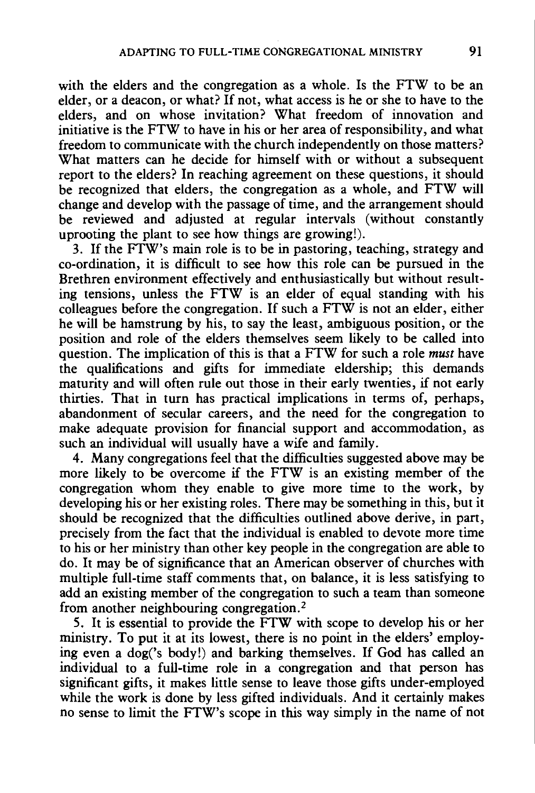with the elders and the congregation as a whole. Is the FTW to be an elder, or a deacon, or what? If not, what access is he or she to have to the elders, and on whose invitation? What freedom of innovation and initiative is the FTW to have in his or her area of responsibility, and what freedom to communicate with the church independently on those matters? What matters can he decide for himself with or without a subsequent report to the elders? In reaching agreement on these questions, it should be recognized that elders, the congregation as a whole, and FTW will change and develop with the passage of time, and the arrangement should be reviewed and adjusted at regular intervals (without constantly uprooting the plant to see how things are growing!).

3. If the FTW's main role is to be in pastoring, teaching, strategy and co-ordination, it is difficult to see how this role can be pursued in the Brethren environment effectively and enthusiastically but without resulting tensions, unless the FTW is an elder of equal standing with his colleagues before the congregation. If such a FTW is not an elder, either he will be hamstrung by his, to say the least, ambiguous position, or the position and role of the elders themselves seem likely to be called into question. The implication of this is that a FTW for such a role *must* have the qualifications and gifts for immediate eldership; this demands maturity and will often rule out those in their early twenties, if not early thirties. That in turn has practical implications in terms of, perhaps, abandonment of secular careers, and the need for the congregation to make adequate provision for financial support and accommodation, as such an individual will usually have a wife and family.

4. Many congregations feel that the difficulties suggested above may be more likely to be overcome if the FTW is an existing member of the congregation whom they enable to give more time to the work, by developing his or her existing roles. There may be something in this, but it should be recognized that the difficulties outlined above derive, in part, precisely from the fact that the individual is enabled to devote more time to his or her ministry than other key people in the congregation are able to do. It may be of significance that an American observer of churches with multiple full-time staff comments that, on balance, it is less satisfying to add an existing member of the congregation to such a team than someone from another neighbouring congregation. 2

5. It is essential to provide the FTW with scope to develop his or her ministry. To put it at its lowest, there is no point in the elders' employing even a dog('s body!) and barking themselves. If God has called an individual to a full-time role in a congregation and that person has significant gifts, it makes little sense to leave those gifts under-employed while the work is done by less gifted individuals. And it certainly makes no sense to limit the FTW's scope in this way simply in the name of not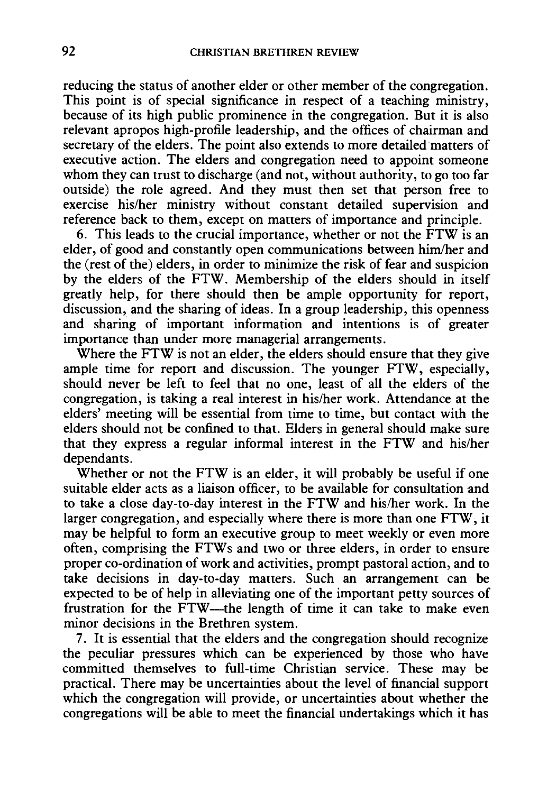reducing the status of another elder or other member of the congregation. This point is of special significance in respect of a teaching ministry, because of its high public prominence in the congregation. But it is also relevant apropos high-profile leadership, and the offices of chairman and secretary of the elders. The point also extends to more detailed matters of executive action. The elders and congregation need to appoint someone whom they can trust to discharge (and not, without authority, to go too far outside) the role agreed. And they must then set that person free to exercise his/her ministry without constant detailed supervision and reference back to them, except on matters of importance and principle.

6. This leads to the crucial importance, whether or not the FTW is an elder, of good and constantly open communications between him/her and the (rest of the) elders, in order to minimize the risk of fear and suspicion by the elders of the FTW. Membership of the elders should in itself greatly help, for there should then be ample opportunity for report, discussion, and the sharing of ideas. In a group leadership, this openness and sharing of important information and intentions is of greater importance than under more managerial arrangements.

Where the FTW is not an elder, the elders should ensure that they give ample time for report and discussion. The younger FTW, especially, should never be left to feel that no one, least of all the elders of the congregation, is taking a real interest in his/her work. Attendance at the elders' meeting will be essential from time to time, but contact with the elders should not be confined to that. Elders in general should make sure that they express a regular informal interest in the FTW and his/her dependants.

Whether or not the FTW is an elder, it will probably be useful if one suitable elder acts as a liaison officer, to be available for consultation and to take a close day-to-day interest in the FTW and his/her work. In the larger congregation, and especially where there is more than one FTW, it may be helpful to form an executive group to meet weekly or even more often, comprising the FTWs and two or three elders, in order to ensure proper co-ordination of work and activities, prompt pastoral action, and to take decisions in day-to-day matters. Such an arrangement can be expected to be of help in alleviating one of the important petty sources of frustration for the FTW—the length of time it can take to make even minor decisions in the Brethren system.

7. It is essential that the elders and the congregation should recognize the peculiar pressures which can be experienced by those who have committed themselves to full-time Christian service. These may be practical. There may be uncertainties about the level of financial support which the congregation will provide, or uncertainties about whether the congregations will be able to meet the financial undertakings which it has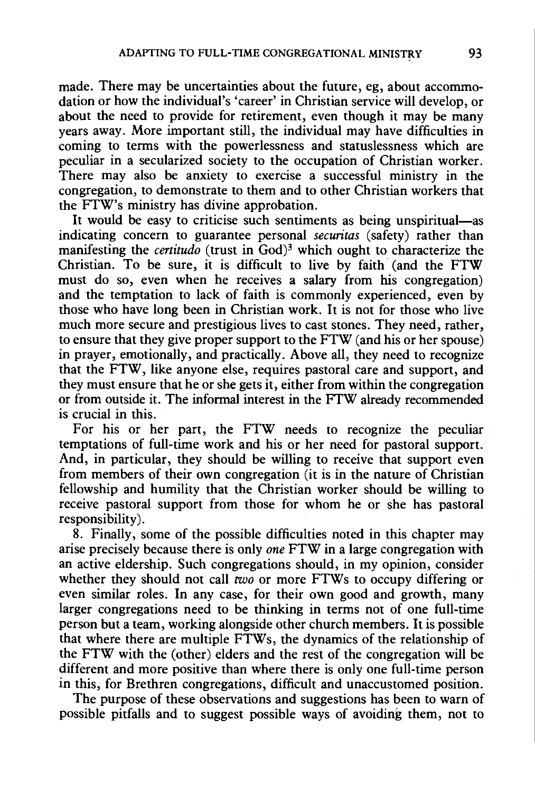made. There may be uncertainties about the future, eg, about accommodation or how the individual's 'career' in Christian service will develop, or about the need to provide for retirement, even though it may be many years away. More important still, the individual may have difficulties in coming to terms with the powerlessness and statuslessness which are peculiar in a secularized society to the occupation of Christian worker. There may also be anxiety to exercise a successful ministry in the congregation, to demonstrate to them and to other Christian workers that the FTW's ministry has divine approbation.

It would be easy to criticise such sentiments as being unspiritual-as indicating concern to guarantee personal *securitas* (safety) rather than manifesting the *certitudo* (trust in God)<sup>3</sup> which ought to characterize the Christian. To be sure, it is difficult to live by faith (and the FTW must do so, even when he receives a salary from his congregation) and the temptation to lack of faith is commonly experienced, even by those who have long been in Christian work. It is not for those who live much more secure and prestigious lives to cast stones. They need, rather, to ensure that they give proper support to the FTW (and his or her spouse) in prayer, emotionally, and practically. Above all, they need to recognize that the FTW, like anyone else, requires pastoral care and support, and they must ensure that he or she gets it, either from within the congregation or from outside it. The informal interest in the FTW already recommended is crucial in this.

For his or her part, the FTW needs to recognize the peculiar temptations of full-time work and his or her need for pastoral support. And, in particular, they should be willing to receive that support even from members of their own congregation (it is in the nature of Christian fellowship and humility that the Christian worker should be willing to receive pastoral support from those for whom he or she has pastoral responsibility).

8. Finally, some of the possible difficulties noted in this chapter may arise precisely because there is only *one* FTW in a large congregation with an active eldership. Such congregations should, in my opinion, consider whether they should not call *two* or more FTWs to occupy differing or even similar roles. In any case, for their own good and growth, many larger congregations need to be thinking in terms not of one full-time person but a team, working alongside other church members. It is possible that where there are multiple FTWs, the dynamics of the relationship of the FTW with the (other) elders and the rest of the congregation will be different and more positive than where there is only one full-time person in this, for Brethren congregations, difficult and unaccustomed position.

The purpose of these observations and suggestions has been to warn of possible pitfalls and to suggest possible ways of avoiding them, not to